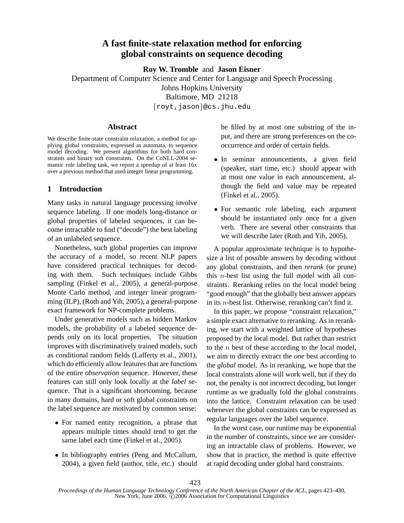# **A fast finite-state relaxation method for enforcing global constraints on sequence decoding**

**Roy W. Tromble** and **Jason Eisner**

Department of Computer Science and Center for Language and Speech Processing Johns Hopkins University Baltimore, MD 21218

{royt,jason}@cs.jhu.edu

#### **Abstract**

We describe finite-state constraint relaxation, a method for applying global constraints, expressed as automata, to sequence model decoding. We present algorithms for both hard constraints and binary soft constraints. On the CoNLL-2004 semantic role labeling task, we report a speedup of at least 16x over a previous method that used integer linear programming.

# **1 Introduction**

Many tasks in natural language processing involve sequence labeling. If one models long-distance or global properties of labeled sequences, it can become intractable to find ("decode") the best labeling of an unlabeled sequence.

Nonetheless, such global properties can improve the accuracy of a model, so recent NLP papers have considered practical techniques for decoding with them. Such techniques include Gibbs sampling (Finkel et al., 2005), a general-purpose Monte Carlo method, and integer linear programming (ILP), (Roth and Yih, 2005), a general-purpose exact framework for NP-complete problems.

Under generative models such as hidden Markov models, the probability of a labeled sequence depends only on its local properties. The situation improves with discriminatively trained models, such as conditional random fields (Lafferty et al., 2001), which do efficiently allow features that are functions of the entire *observation* sequence. However, these features can still only look locally at the *label* sequence. That is a significant shortcoming, because in many domains, hard or soft global constraints on the label sequence are motivated by common sense:

- For named entity recognition, a phrase that appears multiple times should tend to get the same label each time (Finkel et al., 2005).
- In bibliography entries (Peng and McCallum, 2004), a given field (author, title, etc.) should

be filled by at most one substring of the input, and there are strong preferences on the cooccurrence and order of certain fields.

- In seminar announcements, a given field (speaker, start time, etc.) should appear with at most one value in each announcement, although the field and value may be repeated (Finkel et al., 2005).
- For semantic role labeling, each argument should be instantiated only once for a given verb. There are several other constraints that we will describe later (Roth and Yih, 2005).

A popular approximate technique is to hypothesize a list of possible answers by decoding without any global constraints, and then *rerank* (or prune) this  $n$ -best list using the full model with all constraints. Reranking relies on the local model being "good enough" that the globally best answer appears in its n-best list. Otherwise, reranking can't find it.

In this paper, we propose "constraint relaxation," a simple exact alternative to reranking. As in reranking, we start with a weighted lattice of hypotheses proposed by the local model. But rather than restrict to the  $n$  best of these according to the local model, we aim to directly extract the *one* best according to the *global* model. As in reranking, we hope that the local constraints alone will work well, but if they do not, the penalty is not incorrect decoding, but longer runtime as we gradually fold the global constraints into the lattice. Constraint relaxation can be used whenever the global constraints can be expressed as regular languages over the label sequence.

In the worst case, our runtime may be exponential in the number of constraints, since we are considering an intractable class of problems. However, we show that in practice, the method is quite effective at rapid decoding under global hard constraints.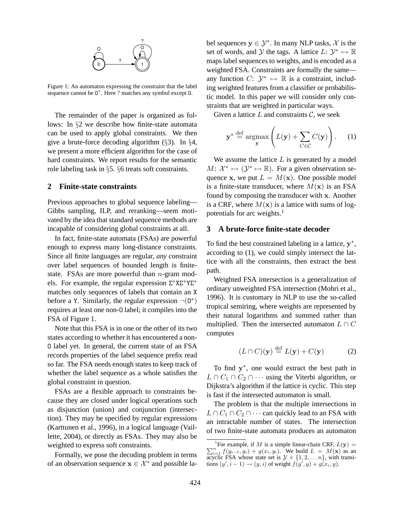

Figure 1: An automaton expressing the constraint that the label sequence cannot be 0<sup>\*</sup>. Here ? matches any symbol except 0.

The remainder of the paper is organized as follows: In §2 we describe how finite-state automata can be used to apply global constraints. We then give a brute-force decoding algorithm (§3). In §4, we present a more efficient algorithm for the case of hard constraints. We report results for the semantic role labeling task in §5. §6 treats soft constraints.

### **2 Finite-state constraints**

Previous approaches to global sequence labeling— Gibbs sampling, ILP, and reranking—seem motivated by the idea that standard sequence methods are incapable of considering global constraints at all.

In fact, finite-state automata (FSAs) are powerful enough to express many long-distance constraints. Since all finite languages are regular, *any* constraint over label sequences of bounded length is finitestate. FSAs are more powerful than  $n$ -gram models. For example, the regular expression  $\Sigma^* X \Sigma^* Y \Sigma^*$ matches only sequences of labels that contain an X before a Y. Similarly, the regular expression  $\neg$ (0\*) requires at least one non-O label; it compiles into the FSA of Figure 1.

Note that this FSA is in one or the other of its two states according to whether it has encountered a non-O label yet. In general, the current state of an FSA records properties of the label sequence prefix read so far. The FSA needs enough states to keep track of whether the label sequence as a whole satisfies the global constraint in question.

FSAs are a flexible approach to constraints because they are closed under logical operations such as disjunction (union) and conjunction (intersection). They may be specified by regular expressions (Karttunen et al., 1996), in a logical language (Vaillette, 2004), or directly as FSAs. They may also be weighted to express soft constraints.

Formally, we pose the decoding problem in terms of an observation sequence  $x \in \mathcal{X}^*$  and possible la-

bel sequences  $y \in \mathcal{Y}^*$ . In many NLP tasks,  $\mathcal{X}$  is the set of words, and  $\mathcal Y$  the tags. A lattice  $L: \mathcal Y^* \mapsto \mathbb R$ maps label sequences to weights, and is encoded as a weighted FSA. Constraints are formally the same any function  $C: \mathcal{Y}^* \mapsto \mathbb{R}$  is a constraint, including weighted features from a classifier or probabilistic model. In this paper we will consider only constraints that are weighted in particular ways.

Given a lattice  $L$  and constraints  $C$ , we seek

$$
\mathbf{y}^* \stackrel{\text{def}}{=} \operatorname*{argmax}_{\mathbf{y}} \left( L(\mathbf{y}) + \sum_{C \in \mathcal{C}} C(\mathbf{y}) \right). \tag{1}
$$

We assume the lattice  $L$  is generated by a model  $M: \mathcal{X}^* \mapsto (\mathcal{Y}^* \mapsto \mathbb{R})$ . For a given observation sequence x, we put  $L = M(x)$ . One possible model is a finite-state transducer, where  $M(x)$  is an FSA found by composing the transducer with x. Another is a CRF, where  $M(x)$  is a lattice with sums of logpotentials for arc weights.<sup>1</sup>

# **3 A brute-force finite-state decoder**

To find the best constrained labeling in a lattice,  $y^*$ , according to (1), we could simply intersect the lattice with all the constraints, then extract the best path.

Weighted FSA intersection is a generalization of ordinary unweighted FSA intersection (Mohri et al., 1996). It is customary in NLP to use the so-called tropical semiring, where weights are represented by their natural logarithms and summed rather than multiplied. Then the intersected automaton  $L \cap C$ computes

$$
(L \cap C)(\mathbf{y}) \stackrel{\text{def}}{=} L(\mathbf{y}) + C(\mathbf{y}) \tag{2}
$$

To find  $y^*$ , one would extract the best path in  $L \cap C_1 \cap C_2 \cap \cdots$  using the Viterbi algorithm, or Dijkstra's algorithm if the lattice is cyclic. This step is fast if the intersected automaton is small.

The problem is that the multiple intersections in  $L \cap C_1 \cap C_2 \cap \cdots$  can quickly lead to an FSA with an intractable number of states. The intersection of two finite-state automata produces an automaton

<sup>&</sup>lt;sup>1</sup>For example, if M is a simple linear-chain CRF,  $L(y) =$  $\sum_{i=1}^{n} f(y_{i-1}, y_i) + g(x_i, y_i)$ . We build  $L = M(\mathbf{x})$  as an acyclic FSA whose state set is  $\mathcal{Y} \times \{1, 2, \dots n\}$ , with transitions  $(y', i - 1) \rightarrow (y, i)$  of weight  $f(y', y) + g(x_i, y)$ .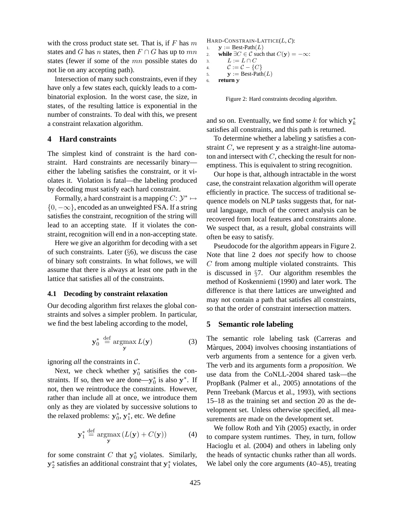with the cross product state set. That is, if  $F$  has  $m$ states and G has n states, then  $F \cap G$  has up to mn states (fewer if some of the mn possible states do not lie on any accepting path).

Intersection of many such constraints, even if they have only a few states each, quickly leads to a combinatorial explosion. In the worst case, the size, in states, of the resulting lattice is exponential in the number of constraints. To deal with this, we present a constraint relaxation algorithm.

#### **4 Hard constraints**

The simplest kind of constraint is the hard constraint. Hard constraints are necessarily binary either the labeling satisfies the constraint, or it violates it. Violation is fatal—the labeling produced by decoding must satisfy each hard constraint.

Formally, a hard constraint is a mapping  $C: \mathcal{Y}^* \mapsto$  $\{0, -\infty\}$ , encoded as an unweighted FSA. If a string satisfies the constraint, recognition of the string will lead to an accepting state. If it violates the constraint, recognition will end in a non-accepting state.

Here we give an algorithm for decoding with a set of such constraints. Later  $(\S 6)$ , we discuss the case of binary soft constraints. In what follows, we will assume that there is always at least one path in the lattice that satisfies all of the constraints.

#### **4.1 Decoding by constraint relaxation**

Our decoding algorithm first relaxes the global constraints and solves a simpler problem. In particular, we find the best labeling according to the model,

$$
\mathbf{y}_0^* \stackrel{\text{def}}{=} \operatorname*{argmax}_{\mathbf{y}} L(\mathbf{y}) \tag{3}
$$

ignoring *all* the constraints in C.

Next, we check whether  $y_0^*$  satisifies the constraints. If so, then we are done— $y_0^*$  is also  $y^*$ . If not, then we reintroduce the constraints. However, rather than include all at once, we introduce them only as they are violated by successive solutions to the relaxed problems:  $y_0^*, y_1^*$ , etc. We define

$$
\mathbf{y}_1^* \stackrel{\text{def}}{=} \operatorname*{argmax}_{\mathbf{y}} \left( L(\mathbf{y}) + C(\mathbf{y}) \right) \tag{4}
$$

for some constraint C that  $y_0^*$  violates. Similarly,  $y_2^*$  satisfies an additional constraint that  $y_1^*$  violates,

```
HARD-CONSTRAIN-LATTICE(L, C):
1. \mathbf{y} := \text{Best-Path}(L)2. while \exists C \in \mathcal{C} such that C(\mathbf{y}) = -\infty:
3. L := L \cap C4. \mathcal{C} := \mathcal{C} - \{C\}5. y := \text{Best-Path}(L)6. return y
```
Figure 2: Hard constraints decoding algorithm.

and so on. Eventually, we find some  $k$  for which  $y_k^*$ satisfies all constraints, and this path is returned.

To determine whether a labeling y satisfies a constraint  $C$ , we represent y as a straight-line automaton and intersect with  $C$ , checking the result for nonemptiness. This is equivalent to string recognition.

Our hope is that, although intractable in the worst case, the constraint relaxation algorithm will operate efficiently in practice. The success of traditional sequence models on NLP tasks suggests that, for natural language, much of the correct analysis can be recovered from local features and constraints alone. We suspect that, as a result, global constraints will often be easy to satisfy.

Pseudocode for the algorithm appears in Figure 2. Note that line 2 does *not* specify how to choose C from among multiple violated constraints. This is discussed in §7. Our algorithm resembles the method of Koskenniemi (1990) and later work. The difference is that there lattices are unweighted and may not contain a path that satisfies all constraints, so that the order of constraint intersection matters.

#### **5 Semantic role labeling**

The semantic role labeling task (Carreras and Màrques, 2004) involves choosing instantiations of verb arguments from a sentence for a given verb. The verb and its arguments form a *proposition*. We use data from the CoNLL-2004 shared task—the PropBank (Palmer et al., 2005) annotations of the Penn Treebank (Marcus et al., 1993), with sections 15–18 as the training set and section 20 as the development set. Unless otherwise specified, all measurements are made on the development set.

We follow Roth and Yih (2005) exactly, in order to compare system runtimes. They, in turn, follow Hacioglu et al. (2004) and others in labeling only the heads of syntactic chunks rather than all words. We label only the core arguments (A0–A5), treating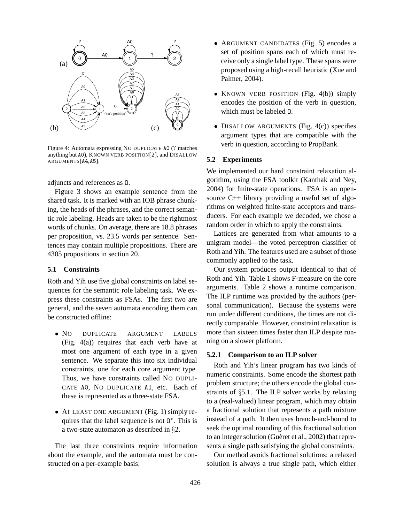

Figure 4: Automata expressing NO DUPLICATE A0 (? matches anything but A0), KNOWN VERB POSITION[2], and DISALLOW ARGUMENTS[A4,A5].

adjuncts and references as O.

Figure 3 shows an example sentence from the shared task. It is marked with an IOB phrase chunking, the heads of the phrases, and the correct semantic role labeling. Heads are taken to be the rightmost words of chunks. On average, there are 18.8 phrases per proposition, vs. 23.5 words per sentence. Sentences may contain multiple propositions. There are 4305 propositions in section 20.

#### **5.1 Constraints**

Roth and Yih use five global constraints on label sequences for the semantic role labeling task. We express these constraints as FSAs. The first two are general, and the seven automata encoding them can be constructed offline:

- NO DUPLICATE ARGUMENT LABELS (Fig. 4(a)) requires that each verb have at most one argument of each type in a given sentence. We separate this into six individual constraints, one for each core argument type. Thus, we have constraints called NO DUPLI-CATE A0, NO DUPLICATE A1, etc. Each of these is represented as a three-state FSA.
- AT LEAST ONE ARGUMENT (Fig. 1) simply requires that the label sequence is not  $0^*$ . This is a two-state automaton as described in §2.

The last three constraints require information about the example, and the automata must be constructed on a per-example basis:

- ARGUMENT CANDIDATES (Fig. 5) encodes a set of position spans each of which must receive only a single label type. These spans were proposed using a high-recall heuristic (Xue and Palmer, 2004).
- KNOWN VERB POSITION (Fig. 4(b)) simply encodes the position of the verb in question, which must be labeled O.
- DISALLOW ARGUMENTS (Fig.  $4(c)$ ) specifies argument types that are compatible with the verb in question, according to PropBank.

# **5.2 Experiments**

We implemented our hard constraint relaxation algorithm, using the FSA toolkit (Kanthak and Ney, 2004) for finite-state operations. FSA is an opensource C++ library providing a useful set of algorithms on weighted finite-state acceptors and transducers. For each example we decoded, we chose a random order in which to apply the constraints.

Lattices are generated from what amounts to a unigram model—the voted perceptron classifier of Roth and Yih. The features used are a subset of those commonly applied to the task.

Our system produces output identical to that of Roth and Yih. Table 1 shows F-measure on the core arguments. Table 2 shows a runtime comparison. The ILP runtime was provided by the authors (personal communication). Because the systems were run under different conditions, the times are not directly comparable. However, constraint relaxation is more than sixteen times faster than ILP despite running on a slower platform.

### **5.2.1 Comparison to an ILP solver**

Roth and Yih's linear program has two kinds of numeric constraints. Some encode the shortest path problem structure; the others encode the global constraints of §5.1. The ILP solver works by relaxing to a (real-valued) linear program, which may obtain a fractional solution that represents a path mixture instead of a path. It then uses branch-and-bound to seek the optimal rounding of this fractional solution to an integer solution (Guéret et al., 2002) that represents a single path satisfying the global constraints.

Our method avoids fractional solutions: a relaxed solution is always a true single path, which either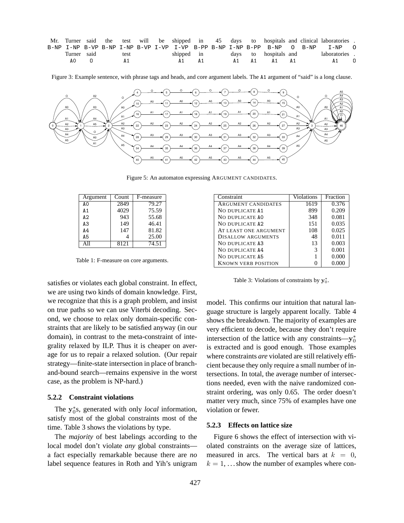| Mr. Turner said the test will be shipped in 45 days to hospitals and clinical laboratories. |      |            |  |  |                       |  |               |   |
|---------------------------------------------------------------------------------------------|------|------------|--|--|-----------------------|--|---------------|---|
| B-NP I-NP B-VP B-NP I-NP B-VP I-VP I-VP B-PP B-NP I-NP B-PP B-NP 0 B-NP I-NP 0              |      |            |  |  |                       |  |               |   |
| Turner said                                                                                 | test | shipped in |  |  | days to hospitals and |  | laboratories. |   |
| AO.                                                                                         | A 1  | A1 A1      |  |  | A1 A1 A1 A1           |  | A 1           | 0 |

Figure 3: Example sentence, with phrase tags and heads, and core argument labels. The A1 argument of "said" is a long clause.



Figure 5: An automaton expressing ARGUMENT CANDIDATES.

| Argument       | Count | F-measure |
|----------------|-------|-----------|
| A0             | 2849  | 79.27     |
| A 1            | 4029  | 75.59     |
| A2             | 943   | 55.68     |
| A <sub>3</sub> | 149   | 46.41     |
| A4             | 147   | 81.82     |
| A <sub>5</sub> |       | 25.00     |
| A 11           | 8121  | 74.51     |

Table 1: F-measure on core arguments.

satisfies or violates each global constraint. In effect, we are using two kinds of domain knowledge. First, we recognize that this is a graph problem, and insist on true paths so we can use Viterbi decoding. Second, we choose to relax only domain-specific constraints that are likely to be satisfied anyway (in our domain), in contrast to the meta-constraint of integrality relaxed by ILP. Thus it is cheaper on average for us to repair a relaxed solution. (Our repair strategy—finite-state intersection in place of branchand-bound search—remains expensive in the worst case, as the problem is NP-hard.)

#### **5.2.2 Constraint violations**

The  $y_0^*$ s, generated with only *local* information, satisfy most of the global constraints most of the time. Table 3 shows the violations by type.

The *majority* of best labelings according to the local model don't violate *any* global constraints a fact especially remarkable because there are *no* label sequence features in Roth and Yih's unigram

| Constraint                 | Violations | Fraction |
|----------------------------|------------|----------|
| ARGUMENT CANDIDATES        | 1619       | 0.376    |
| NO DUPLICATE A1            | 899        | 0.209    |
| NO DUPLICATE AO            | 348        | 0.081    |
| NO DUPLICATE A2            | 151        | 0.035    |
| AT LEAST ONE ARGUMENT      | 108        | 0.025    |
| DISALLOW ARGUMENTS         | 48         | 0.011    |
| NO DUPLICATE A3            | 13         | 0.003    |
| NO DUPLICATE A4            | 3          | 0.001    |
| NO DUPLICATE A5            |            | 0.000    |
| <b>KNOWN VERB POSITION</b> |            | 0.000    |

Table 3: Violations of constraints by  $y_0^*$ .

model. This confirms our intuition that natural language structure is largely apparent locally. Table 4 shows the breakdown. The majority of examples are very efficient to decode, because they don't require intersection of the lattice with any constraints— $y_0^*$ is extracted and is good enough. Those examples where constraints *are* violated are still relatively efficient because they only require a small number of intersections. In total, the average number of intersections needed, even with the naive randomized constraint ordering, was only 0.65. The order doesn't matter very much, since 75% of examples have one violation or fewer.

#### **5.2.3 Effects on lattice size**

Figure 6 shows the effect of intersection with violated constraints on the average size of lattices, measured in arcs. The vertical bars at  $k = 0$ ,  $k = 1, \ldots$  show the number of examples where con-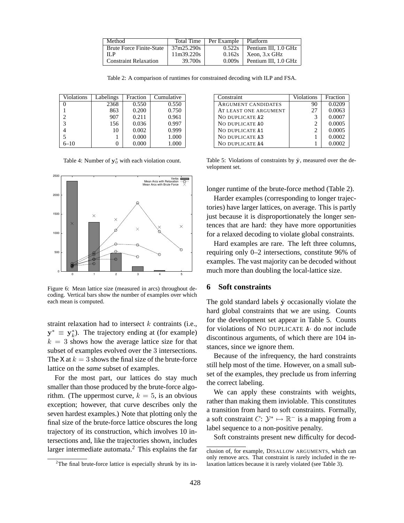| Method                          |            | Total Time   Per Example   Platform |                               |
|---------------------------------|------------|-------------------------------------|-------------------------------|
| <b>Brute Force Finite-State</b> | 37m25.290s |                                     | $0.522s$ Pentium III. 1.0 GHz |
| -ILP                            | 11m39.220s |                                     | $0.162s$   Xeon, 3.x GHz      |
| <b>Constraint Relaxation</b>    | 39.700s    | $0.009s$                            | Pentium III, 1.0 GHz          |

Table 2: A comparison of runtimes for constrained decoding with ILP and FSA.

| Violations | Labelings | Fraction | Cumulative |
|------------|-----------|----------|------------|
|            | 2368      | 0.550    | 0.550      |
|            | 863       | 0.200    | 0.750      |
| 2          | 907       | 0.211    | 0.961      |
| 3          | 156       | 0.036    | 0.997      |
|            | 10        | 0.002    | 0.999      |
|            |           | 0.000    | 1.000      |
| $6 - 10$   |           | 0.000    | 1.000      |

Table 4: Number of  $y_0^*$  with each violation count.



Figure 6: Mean lattice size (measured in arcs) throughout decoding. Vertical bars show the number of examples over which each mean is computed.

straint relaxation had to intersect  $k$  contraints (i.e.,  $y^* \equiv y_k^*$ ). The trajectory ending at (for example)  $k = 3$  shows how the average lattice size for that subset of examples evolved over the 3 intersections. The X at  $k = 3$  shows the final size of the brute-force lattice on the *same* subset of examples.

For the most part, our lattices do stay much smaller than those produced by the brute-force algorithm. (The uppermost curve,  $k = 5$ , is an obvious exception; however, that curve describes only the seven hardest examples.) Note that plotting only the final size of the brute-force lattice obscures the long trajectory of its construction, which involves 10 intersections and, like the trajectories shown, includes larger intermediate automata.<sup>2</sup> This explains the far

| Constraint            | Violations                  | Fraction |
|-----------------------|-----------------------------|----------|
| ARGUMENT CANDIDATES   | 90                          | 0.0209   |
| AT LEAST ONE ARGUMENT | 27                          | 0.0063   |
| NO DUPLICATE A2       | 3                           | 0.0007   |
| NO DUPLICATE AO       | $\mathcal{D}_{\mathcal{L}}$ | 0.0005   |
| NO DUPLICATE A1       | 2                           | 0.0005   |
| NO DUPLICATE A3       |                             | 0.0002   |
| NO DUPLICATE A4       |                             | 0.0002   |

Table 5: Violations of constraints by  $\hat{y}$ , measured over the development set.

longer runtime of the brute-force method (Table 2).

Harder examples (corresponding to longer trajectories) have larger lattices, on average. This is partly just because it is disproportionately the longer sentences that are hard: they have more opportunities for a relaxed decoding to violate global constraints.

Hard examples are rare. The left three columns, requiring only 0–2 intersections, constitute 96% of examples. The vast majority can be decoded without much more than doubling the local-lattice size.

# **6 Soft constraints**

The gold standard labels  $\hat{y}$  occasionally violate the hard global constraints that we are using. Counts for the development set appear in Table 5. Counts for violations of NO DUPLICATE A· do *not* include discontinous arguments, of which there are 104 instances, since we ignore them.

Because of the infrequency, the hard constraints still help most of the time. However, on a small subset of the examples, they preclude us from inferring the correct labeling.

We can apply these constraints with weights, rather than making them inviolable. This constitutes a transition from hard to soft constraints. Formally, a soft constraint  $C: \mathcal{Y}^* \mapsto \mathbb{R}^-$  is a mapping from a label sequence to a non-positive penalty.

Soft constraints present new difficulty for decod-

 $2$ The final brute-force lattice is especially shrunk by its in-

clusion of, for example, DISALLOW ARGUMENTS, which can only remove arcs. That constraint is rarely included in the relaxation lattices because it is rarely violated (see Table 3).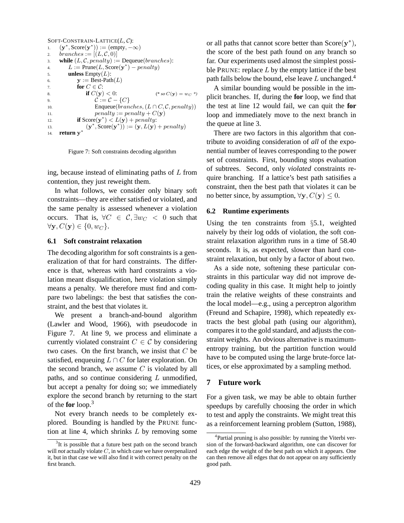```
SOFT-CONSTRAIN-LATTICE(L, C):
1. (\mathbf{y}^*, \text{Score}(\mathbf{y}^*)) := (\text{empty}, -\infty)2. branches :=[(L,\mathcal{C},0)]3. while (L, \mathcal{C}, penalty) := Dequeue(branches):4. L := \text{Prune}(L, \text{Score}(\mathbf{y}^*) - \text{penalty})5. unless \text{Empty}(L):
6. y := \text{Best-Path}(L)7. for C \in \mathcal{C}:
8. if C(y) < 0: (* so C(y) = w_C *)
9. C := C - \{C\}10. Enqueue(branches, (L \cap C, \mathcal{C}, penalty))
11. penalty := penalty + C(y)12. if Score(\mathbf{y}^*) < L(\mathbf{y}) + penalty:13. (\mathbf{y}^*, \mathbf{Score}(\mathbf{y}^*)) := (\mathbf{y}, L(\mathbf{y}) + penalty)14. return y
∗
```
Figure 7: Soft constraints decoding algorithm

ing, because instead of eliminating paths of L from contention, they just reweight them.

In what follows, we consider only binary soft constraints—they are either satisfied or violated, and the same penalty is assessed whenever a violation occurs. That is,  $\forall C \in C, \exists w_C < 0$  such that  $\forall y, C(y) \in \{0, w_C\}.$ 

#### **6.1 Soft constraint relaxation**

The decoding algorithm for soft constraints is a generalization of that for hard constraints. The difference is that, whereas with hard constraints a violation meant disqualification, here violation simply means a penalty. We therefore must find and compare two labelings: the best that satisfies the constraint, and the best that violates it.

We present a branch-and-bound algorithm (Lawler and Wood, 1966), with pseudocode in Figure 7. At line 9, we process and eliminate a currently violated constraint  $C \in \mathcal{C}$  by considering two cases. On the first branch, we insist that C be satisfied, enqueuing  $L \cap C$  for later exploration. On the second branch, we assume  $C$  is violated by all paths, and so continue considering  $L$  unmodified, but accept a penalty for doing so; we immediately explore the second branch by returning to the start of the **for** loop.<sup>3</sup>

Not every branch needs to be completely explored. Bounding is handled by the PRUNE function at line 4, which shrinks L by removing some

or all paths that cannot score better than  $Score(y^*),$ the score of the best path found on any branch so far. Our experiments used almost the simplest possible PRUNE: replace  $L$  by the empty lattice if the best path falls below the bound, else leave  $L$  unchanged.<sup>4</sup>

A similar bounding would be possible in the implicit branches. If, during the **for** loop, we find that the test at line 12 would fail, we can quit the **for** loop and immediately move to the next branch in the queue at line 3.

There are two factors in this algorithm that contribute to avoiding consideration of *all* of the exponential number of leaves corresponding to the power set of constraints. First, bounding stops evaluation of subtrees. Second, only *violated* constraints require branching. If a lattice's best path satisifies a constraint, then the best path that violates it can be no better since, by assumption,  $\forall y, C(y) \leq 0$ .

#### **6.2 Runtime experiments**

Using the ten constraints from §5.1, weighted naively by their log odds of violation, the soft constraint relaxation algorithm runs in a time of 58.40 seconds. It is, as expected, slower than hard constraint relaxation, but only by a factor of about two.

As a side note, softening these particular constraints in this particular way did not improve decoding quality in this case. It might help to jointly train the relative weights of these constraints and the local model—e.g., using a perceptron algorithm (Freund and Schapire, 1998), which repeatedly extracts the best global path (using our algorithm), compares it to the gold standard, and adjusts the constraint weights. An obvious alternative is maximumentropy training, but the partition function would have to be computed using the large brute-force lattices, or else approximated by a sampling method.

#### **7 Future work**

For a given task, we may be able to obtain further speedups by carefully choosing the order in which to test and apply the constraints. We might treat this as a reinforcement learning problem (Sutton, 1988),

 $3$ It is possible that a future best path on the second branch will *not* actually violate C, in which case we have overpenalized it, but in that case we will also find it with correct penalty on the first branch.

<sup>4</sup> Partial pruning is also possible: by running the Viterbi version of the forward-backward algorithm, one can discover for each edge the weight of the best path on which it appears. One can then remove all edges that do not appear on any sufficiently good path.